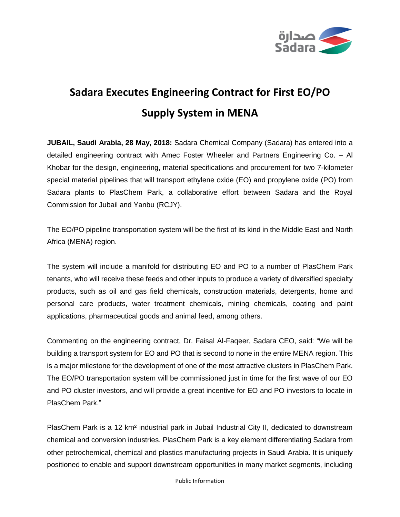

## **Sadara Executes Engineering Contract for First EO/PO Supply System in MENA**

**JUBAIL, Saudi Arabia, 28 May, 2018:** Sadara Chemical Company (Sadara) has entered into a detailed engineering contract with Amec Foster Wheeler and Partners Engineering Co. – Al Khobar for the design, engineering, material specifications and procurement for two 7-kilometer special material pipelines that will transport ethylene oxide (EO) and propylene oxide (PO) from Sadara plants to PlasChem Park, a collaborative effort between Sadara and the Royal Commission for Jubail and Yanbu (RCJY).

The EO/PO pipeline transportation system will be the first of its kind in the Middle East and North Africa (MENA) region.

The system will include a manifold for distributing EO and PO to a number of PlasChem Park tenants, who will receive these feeds and other inputs to produce a variety of diversified specialty products, such as oil and gas field chemicals, construction materials, detergents, home and personal care products, water treatment chemicals, mining chemicals, coating and paint applications, pharmaceutical goods and animal feed, among others.

Commenting on the engineering contract, Dr. Faisal Al-Faqeer, Sadara CEO, said: "We will be building a transport system for EO and PO that is second to none in the entire MENA region. This is a major milestone for the development of one of the most attractive clusters in PlasChem Park. The EO/PO transportation system will be commissioned just in time for the first wave of our EO and PO cluster investors, and will provide a great incentive for EO and PO investors to locate in PlasChem Park."

PlasChem Park is a 12 km² industrial park in Jubail Industrial City II, dedicated to downstream chemical and conversion industries. PlasChem Park is a key element differentiating Sadara from other petrochemical, chemical and plastics manufacturing projects in Saudi Arabia. It is uniquely positioned to enable and support downstream opportunities in many market segments, including